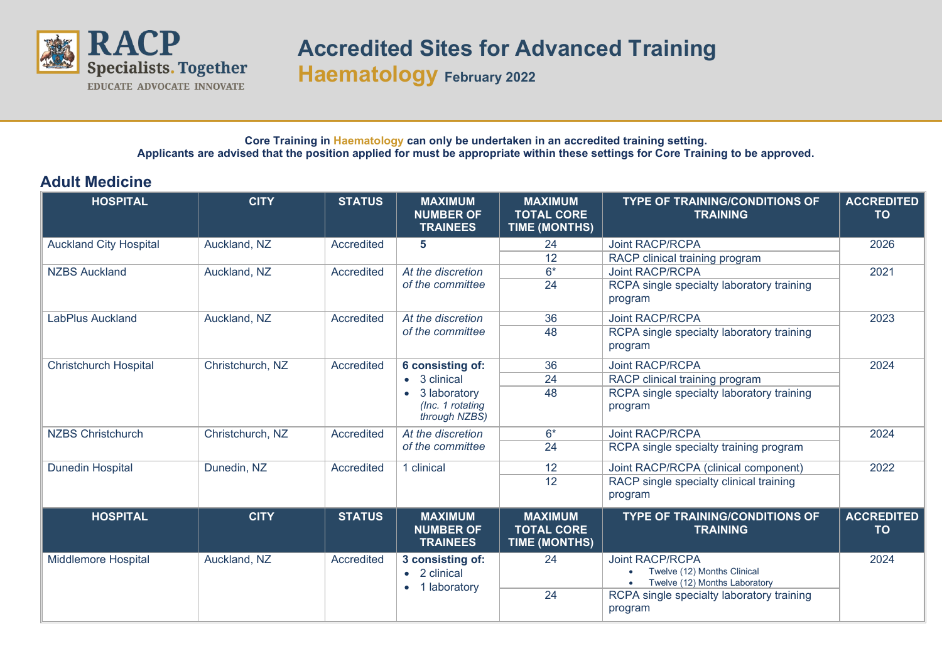

**Accredited Sites for Advanced Training**

**Haematology February 2022**

## **Core Training in Haematology can only be undertaken in an accredited training setting. Applicants are advised that the position applied for must be appropriate within these settings for Core Training to be approved.**

## **Adult Medicine**

| <b>HOSPITAL</b>               | <b>CITY</b>      | <b>STATUS</b> | <b>MAXIMUM</b><br><b>NUMBER OF</b><br><b>TRAINEES</b>                                 | <b>MAXIMUM</b><br><b>TOTAL CORE</b><br><b>TIME (MONTHS)</b> | <b>TYPE OF TRAINING/CONDITIONS OF</b><br><b>TRAINING</b>                               | <b>ACCREDITED</b><br><b>TO</b> |
|-------------------------------|------------------|---------------|---------------------------------------------------------------------------------------|-------------------------------------------------------------|----------------------------------------------------------------------------------------|--------------------------------|
| <b>Auckland City Hospital</b> | Auckland, NZ     | Accredited    | 5                                                                                     | 24                                                          | <b>Joint RACP/RCPA</b>                                                                 | 2026                           |
|                               |                  |               |                                                                                       | 12                                                          | RACP clinical training program                                                         |                                |
| <b>NZBS Auckland</b>          | Auckland, NZ     | Accredited    | At the discretion                                                                     | $6*$                                                        | <b>Joint RACP/RCPA</b>                                                                 | 2021                           |
|                               |                  |               | of the committee                                                                      | 24                                                          | RCPA single specialty laboratory training<br>program                                   |                                |
| LabPlus Auckland              | Auckland, NZ     | Accredited    | At the discretion<br>of the committee                                                 | 36                                                          | <b>Joint RACP/RCPA</b>                                                                 | 2023                           |
|                               |                  |               |                                                                                       | 48                                                          | RCPA single specialty laboratory training<br>program                                   |                                |
| Christchurch Hospital         | Christchurch, NZ | Accredited    | 6 consisting of:<br>• 3 clinical<br>3 laboratory<br>(Inc. 1 rotating<br>through NZBS) | 36                                                          | <b>Joint RACP/RCPA</b>                                                                 | 2024                           |
|                               |                  |               |                                                                                       | 24                                                          | RACP clinical training program                                                         |                                |
|                               |                  |               |                                                                                       | 48                                                          | RCPA single specialty laboratory training<br>program                                   |                                |
| <b>NZBS Christchurch</b>      | Christchurch, NZ | Accredited    | At the discretion<br>of the committee                                                 | $6*$                                                        | <b>Joint RACP/RCPA</b>                                                                 | 2024                           |
|                               |                  |               |                                                                                       | 24                                                          | RCPA single specialty training program                                                 |                                |
| <b>Dunedin Hospital</b>       | Dunedin, NZ      | Accredited    | 1 clinical                                                                            | 12                                                          | Joint RACP/RCPA (clinical component)                                                   | 2022                           |
|                               |                  |               |                                                                                       | 12                                                          | RACP single specialty clinical training<br>program                                     |                                |
| <b>HOSPITAL</b>               | <b>CITY</b>      | <b>STATUS</b> | <b>MAXIMUM</b><br><b>NUMBER OF</b><br><b>TRAINEES</b>                                 | <b>MAXIMUM</b><br><b>TOTAL CORE</b><br><b>TIME (MONTHS)</b> | <b>TYPE OF TRAINING/CONDITIONS OF</b><br><b>TRAINING</b>                               | <b>ACCREDITED</b><br><b>TO</b> |
| <b>Middlemore Hospital</b>    | Auckland, NZ     | Accredited    | 3 consisting of:<br>• 2 clinical<br>1 laboratory                                      | 24                                                          | <b>Joint RACP/RCPA</b><br>Twelve (12) Months Clinical<br>Twelve (12) Months Laboratory | 2024                           |
|                               |                  |               |                                                                                       | 24                                                          | RCPA single specialty laboratory training<br>program                                   |                                |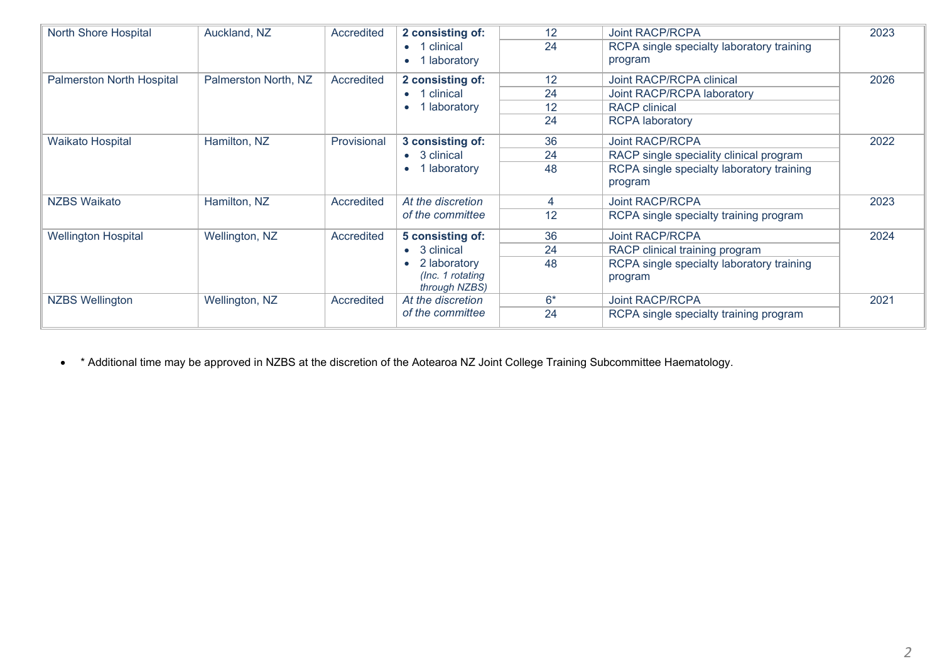| <b>North Shore Hospital</b>      | Auckland, NZ         | Accredited  | 2 consisting of:<br>clinical<br>$\bullet$ 1<br>laboratory                             | 12<br>24             | <b>Joint RACP/RCPA</b><br>RCPA single specialty laboratory training<br>program                                            | 2023 |
|----------------------------------|----------------------|-------------|---------------------------------------------------------------------------------------|----------------------|---------------------------------------------------------------------------------------------------------------------------|------|
| <b>Palmerston North Hospital</b> | Palmerston North, NZ | Accredited  | 2 consisting of:<br>$\bullet$ 1 clinical<br>laboratory                                | 12<br>24<br>12<br>24 | Joint RACP/RCPA clinical<br>Joint RACP/RCPA laboratory<br><b>RACP</b> clinical<br><b>RCPA</b> laboratory                  | 2026 |
| <b>Waikato Hospital</b>          | Hamilton, NZ         | Provisional | 3 consisting of:<br>$\bullet$ 3 clinical<br>laboratory                                | 36<br>24<br>48       | <b>Joint RACP/RCPA</b><br>RACP single speciality clinical program<br>RCPA single specialty laboratory training<br>program | 2022 |
| NZBS Waikato                     | Hamilton, NZ         | Accredited  | At the discretion<br>of the committee                                                 | 4<br>12              | <b>Joint RACP/RCPA</b><br>RCPA single specialty training program                                                          | 2023 |
| <b>Wellington Hospital</b>       | Wellington, NZ       | Accredited  | 5 consisting of:<br>• 3 clinical<br>2 laboratory<br>(Inc. 1 rotating<br>through NZBS) | 36<br>24<br>48       | <b>Joint RACP/RCPA</b><br>RACP clinical training program<br>RCPA single specialty laboratory training<br>program          | 2024 |
| <b>NZBS Wellington</b>           | Wellington, NZ       | Accredited  | At the discretion<br>of the committee                                                 | $6*$<br>24           | <b>Joint RACP/RCPA</b><br>RCPA single specialty training program                                                          | 2021 |

• \* Additional time may be approved in NZBS at the discretion of the Aotearoa NZ Joint College Training Subcommittee Haematology.